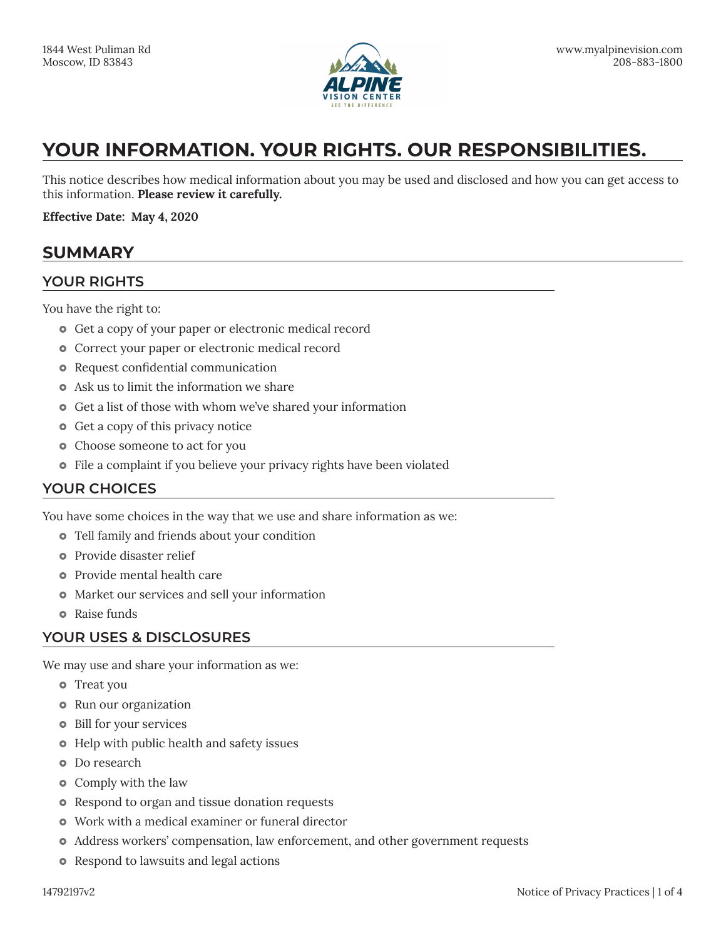

# **YOUR INFORMATION. YOUR RIGHTS. OUR RESPONSIBILITIES.**

This notice describes how medical information about you may be used and disclosed and how you can get access to this information. **Please review it carefully.**

**Effective Date: May 4, 2020**

### **SUMMARY**

### **YOUR RIGHTS**

You have the right to:

- Get a copy of your paper or electronic medical record
- Correct your paper or electronic medical record
- Request confidential communication
- Ask us to limit the information we share
- Get a list of those with whom we've shared your information
- Get a copy of this privacy notice
- Choose someone to act for you
- File a complaint if you believe your privacy rights have been violated

### **YOUR CHOICES**

You have some choices in the way that we use and share information as we:

- Tell family and friends about your condition
- Provide disaster relief
- Provide mental health care
- Market our services and sell your information
- **•** Raise funds

### **YOUR USES & DISCLOSURES**

We may use and share your information as we:

- **•** Treat you
- Run our organization
- Bill for your services
- Help with public health and safety issues
- **•** Do research
- Comply with the law
- Respond to organ and tissue donation requests
- Work with a medical examiner or funeral director
- Address workers' compensation, law enforcement, and other government requests
- Respond to lawsuits and legal actions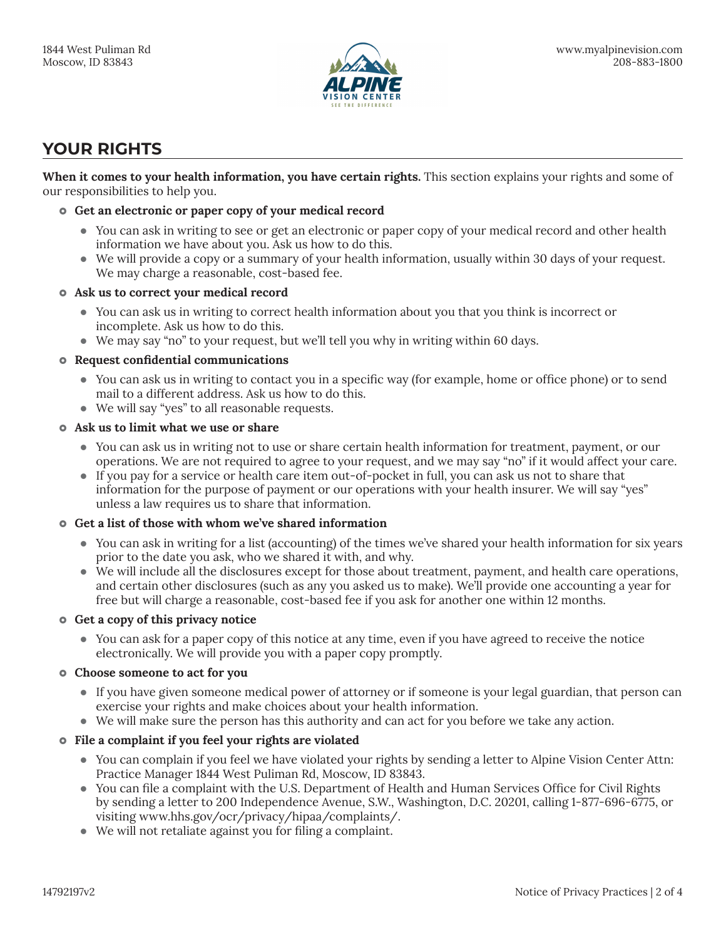

## **YOUR RIGHTS**

**When it comes to your health information, you have certain rights.** This section explains your rights and some of our responsibilities to help you.

#### } **Get an electronic or paper copy of your medical record**

- You can ask in writing to see or get an electronic or paper copy of your medical record and other health information we have about you. Ask us how to do this.
- We will provide a copy or a summary of your health information, usually within 30 days of your request. We may charge a reasonable, cost-based fee.

#### } **Ask us to correct your medical record**

- You can ask us in writing to correct health information about you that you think is incorrect or incomplete. Ask us how to do this.
- $\bullet$  We may say "no" to your request, but we'll tell you why in writing within 60 days.

#### } **Request confidential communications**

- You can ask us in writing to contact you in a specific way (for example, home or office phone) or to send mail to a different address. Ask us how to do this.
- We will say "yes" to all reasonable requests.

#### } **Ask us to limit what we use or share**

- You can ask us in writing not to use or share certain health information for treatment, payment, or our operations. We are not required to agree to your request, and we may say "no" if it would affect your care.
- If you pay for a service or health care item out-of-pocket in full, you can ask us not to share that information for the purpose of payment or our operations with your health insurer. We will say "yes" unless a law requires us to share that information.

#### } **Get a list of those with whom we've shared information**

- You can ask in writing for a list (accounting) of the times we've shared your health information for six years prior to the date you ask, who we shared it with, and why.
- $\bullet$  We will include all the disclosures except for those about treatment, payment, and health care operations, and certain other disclosures (such as any you asked us to make). We'll provide one accounting a year for free but will charge a reasonable, cost-based fee if you ask for another one within 12 months.

#### } **Get a copy of this privacy notice**

• You can ask for a paper copy of this notice at any time, even if you have agreed to receive the notice electronically. We will provide you with a paper copy promptly.

#### } **Choose someone to act for you**

- If you have given someone medical power of attorney or if someone is your legal guardian, that person can exercise your rights and make choices about your health information.
- $\bullet$  We will make sure the person has this authority and can act for you before we take any action.

#### } **File a complaint if you feel your rights are violated**

- You can complain if you feel we have violated your rights by sending a letter to Alpine Vision Center Attn: Practice Manager 1844 West Puliman Rd, Moscow, ID 83843.
- You can file a complaint with the U.S. Department of Health and Human Services Office for Civil Rights by sending a letter to 200 Independence Avenue, S.W., Washington, D.C. 20201, calling 1-877-696-6775, or visiting www.hhs.gov/ocr/privacy/hipaa/complaints/.
- We will not retaliate against you for filing a complaint.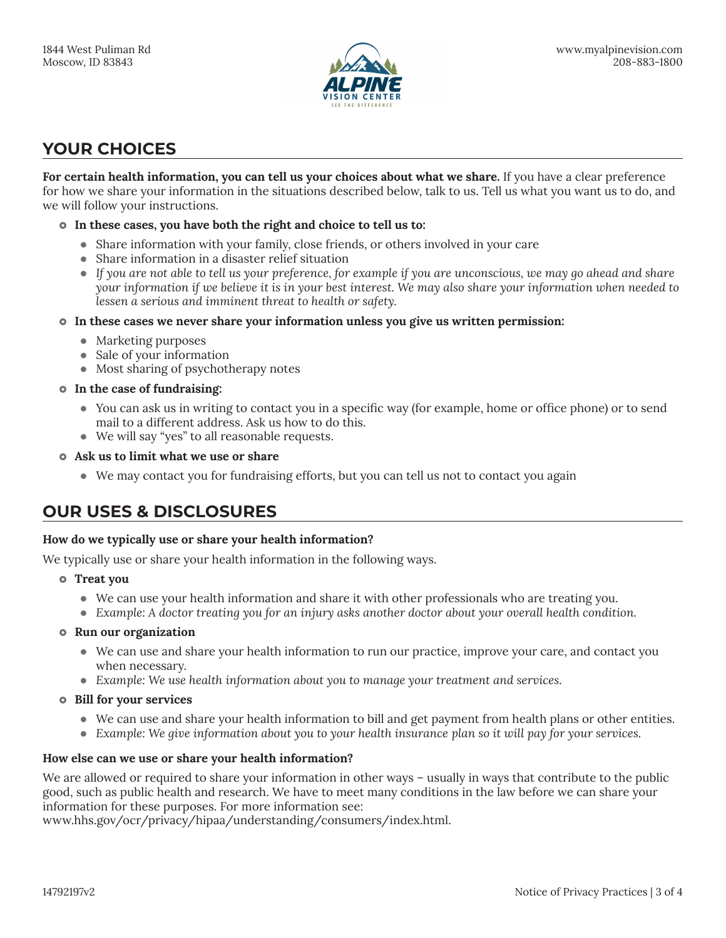

## **YOUR CHOICES**

**For certain health information, you can tell us your choices about what we share.** If you have a clear preference for how we share your information in the situations described below, talk to us. Tell us what you want us to do, and we will follow your instructions.

#### } **In these cases, you have both the right and choice to tell us to:**

- Share information with your family, close friends, or others involved in your care
- Share information in a disaster relief situation
- If you are not able to tell us your preference, for example if you are unconscious, we may go ahead and share *your information if we believe it is in your best interest. We may also share your information when needed to lessen a serious and imminent threat to health or safety.*
- } **In these cases we never share your information unless you give us written permission:**
	- Marketing purposes
	- Sale of your information
	- Most sharing of psychotherapy notes

#### } **In the case of fundraising:**

- You can ask us in writing to contact you in a specific way (for example, home or office phone) or to send mail to a different address. Ask us how to do this.
- We will say "yes" to all reasonable requests.
- } **Ask us to limit what we use or share**
	- We may contact you for fundraising efforts, but you can tell us not to contact you again

## **OUR USES & DISCLOSURES**

#### **How do we typically use or share your health information?**

We typically use or share your health information in the following ways.

- } **Treat you**
	- $\bullet$  We can use your health information and share it with other professionals who are treating you.
	- **Example:** A doctor treating you for an injury asks another doctor about your overall health condition.

#### $\circ$  Run our organization

- We can use and share your health information to run our practice, improve your care, and contact you when necessary.
- **Example:** We use health information about you to manage your treatment and services.

#### } **Bill for your services**

- We can use and share your health information to bill and get payment from health plans or other entities.
- **Example:** We give information about you to your health insurance plan so it will pay for your services.

#### **How else can we use or share your health information?**

We are allowed or required to share your information in other ways – usually in ways that contribute to the public good, such as public health and research. We have to meet many conditions in the law before we can share your information for these purposes. For more information see:

www.hhs.gov/ocr/privacy/hipaa/understanding/consumers/index.html.